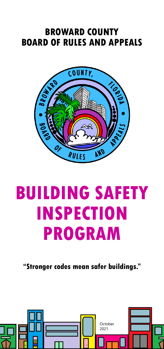# **BROWARD COUNTY BOARD OF RULES AND APPEALS**



# **BUILDING SAFETY INSPECTION PROGRAM**

**"Stronger codes mean safer buildings."**

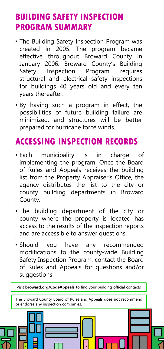## **BUILDING SAFETY INSPECTION PROGRAM SUMMARY**

- The Building Safety Inspection Program was created in 2005. The program became effective throughout Broward County in January 2006. Broward County's Building Safety Inspection Program requires structural and electrical safety inspections for buildings 40 years old and every ten years thereafter.
- By having such a program in effect, the possibilities of future building failure are minimized, and structures will be better prepared for hurricane force winds.

•

•

•

# **ACCESSING INSPECTION RECORDS**

- Each municipality is in charge of implementing the program. Once the Board of Rules and Appeals receives the building list from the Property Appraiser's Office, the agency distributes the list to the city or county building departments in Broward County.
- The building department of the city or county where the property is located has access to the results of the inspection reports and are accessible to answer questions.
- Should you have any recommended modifications to the county-wide Building Safety Inspection Program, contact the Board of Rules and Appeals for questions and/or suggestions.

Visit **broward.org/CodeAppeals** to find your building official contacts The Broward County Board of Rules and Appeals does not recommend or endorse any inspection companies.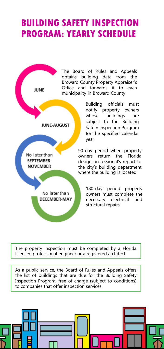# **BUILDING SAFETY INSPECTION PROGRAM: YEARLY SCHEDULE**



Building officials must notify property owners whose buildings are subject to the Building Safety Inspection Program for the specified calendar

90-day period when property owners return the Florida design professional's report to the city's building department where the building is located

> 180-day period property owners must complete the necessary electrical and structural repairs

The property inspection must be completed by a Florida licensed professional engineer or a registered architect.

As a public service, the Board of Rules and Appeals offers the list of buildings that are due for the Building Safety Inspection Program, free of charge (subject to conditions) to companies that offer inspection services.

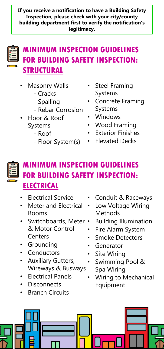**If you receive a notification to have a Building Safety Inspection, please check with your city/county building department first to verify the notification's legitimacy.**



## **MINIMUM INSPECTION GUIDELINES FOR BUILDING SAFETY INSPECTION: STRUCTURAL**

- **Masonry Walls** 
	- Cracks
	- Spalling
	- Rebar Corrosion
- Floor & Roof Systems
	- Roof
	- Floor System(s)
- Steel Framing Systems
- Concrete Framing Systems
- Windows
- Wood Framing
- **Exterior Finishes**
- Elevated Decks

# **MINIMUM INSPECTION GUIDELINES FOR BUILDING SAFETY INSPECTION: ELECTRICAL**

- **Electrical Service**
- Meter and Electrical Rooms
- Switchboards, Meter & Motor Control **Centers**
- Grounding
- Conductors
- Auxiliary Gutters, Wireways & Busways
- Electrical Panels
- **Disconnects**
- **Branch Circuits**
- Conduit & Raceways
- Low Voltage Wiring Methods
- Building Illumination
- Fire Alarm System
- **Smoke Detectors**
- **Generator**
- **Site Wiring**
- Swimming Pool & Spa Wiring
- Wiring to Mechanical Equipment

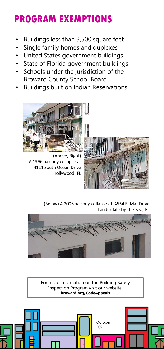# **PROGRAM EXEMPTIONS**

- Buildings less than 3,500 square feet
- Single family homes and duplexes
- United States government buildings
- State of Florida government buildings
- Schools under the jurisdiction of the Broward County School Board
- Buildings built on Indian Reservations



(Above, Right) A 1996 balcony collapse at 4111 South Ocean Drive Hollywood, FL



(Below) A 2006 balcony collapse at 4564 El Mar Drive Lauderdale-by-the-Sea, FL



For more information on the Building Safety Inspection Program visit our website: **broward.org/CodeAppeals**